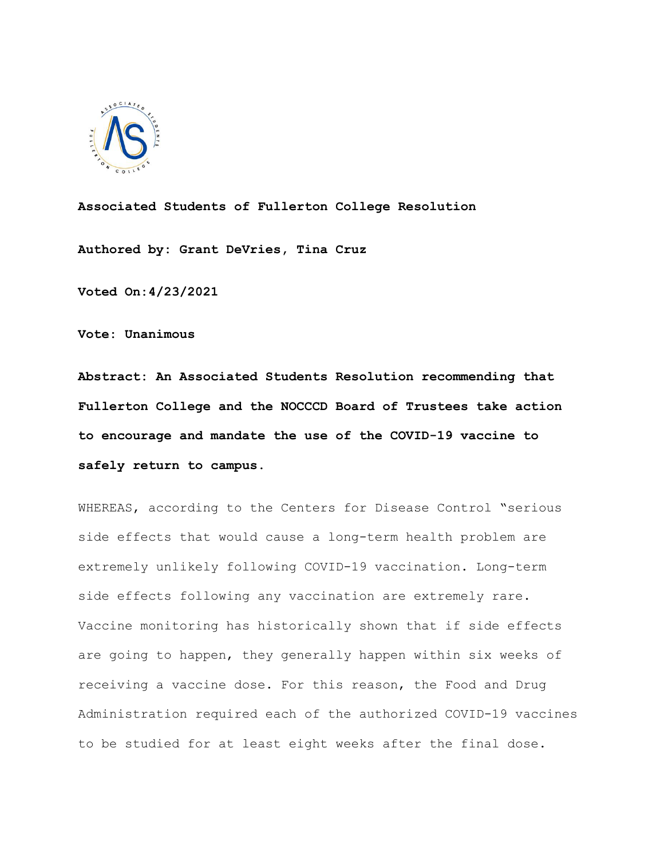

**Associated Students of Fullerton College Resolution**

**Authored by: Grant DeVries, Tina Cruz**

**Voted On:4/23/2021**

**Vote: Unanimous**

**Abstract: An Associated Students Resolution recommending that Fullerton College and the NOCCCD Board of Trustees take action to encourage and mandate the use of the COVID-19 vaccine to safely return to campus.**

WHEREAS, according to the Centers for Disease Control "serious side effects that would cause a long-term health problem are extremely unlikely following COVID-19 vaccination. Long-term side effects following any vaccination are extremely rare. Vaccine monitoring has historically shown that if side effects are going to happen, they generally happen within six weeks of receiving a vaccine dose. For this reason, the Food and Drug Administration required each of the authorized COVID-19 vaccines to be studied for at least eight weeks after the final dose.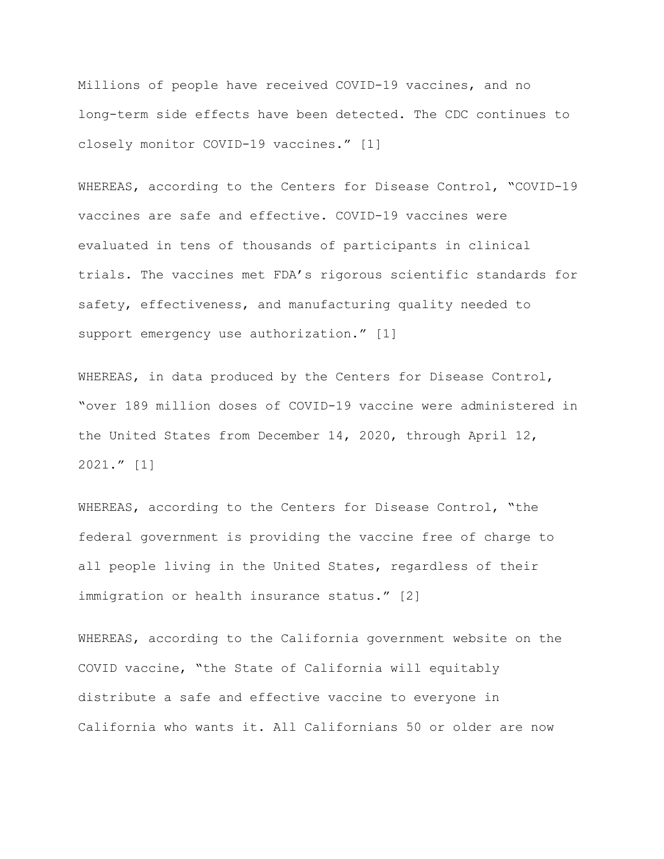Millions of people have received COVID-19 vaccines, and no long-term side effects have been detected. The CDC continues to closely monitor COVID-19 vaccines." [1]

WHEREAS, according to the Centers for Disease Control, "COVID-19 vaccines are safe and effective. COVID-19 vaccines were evaluated in tens of thousands of participants in clinical trials. The vaccines met FDA's rigorous scientific standards for safety, effectiveness, and manufacturing quality needed to support emergency use authorization." [1]

WHEREAS, in data produced by the Centers for Disease Control, "over 189 million doses of COVID-19 vaccine were administered in the United States from December 14, 2020, through April 12, 2021." [1]

WHEREAS, according to the Centers for Disease Control, "the federal government is providing the vaccine free of charge to all people living in the United States, regardless of their immigration or health insurance status." [2]

WHEREAS, according to the California government website on the COVID vaccine, "the State of California will equitably distribute a safe and effective vaccine to everyone in California who wants it. All Californians 50 or older are now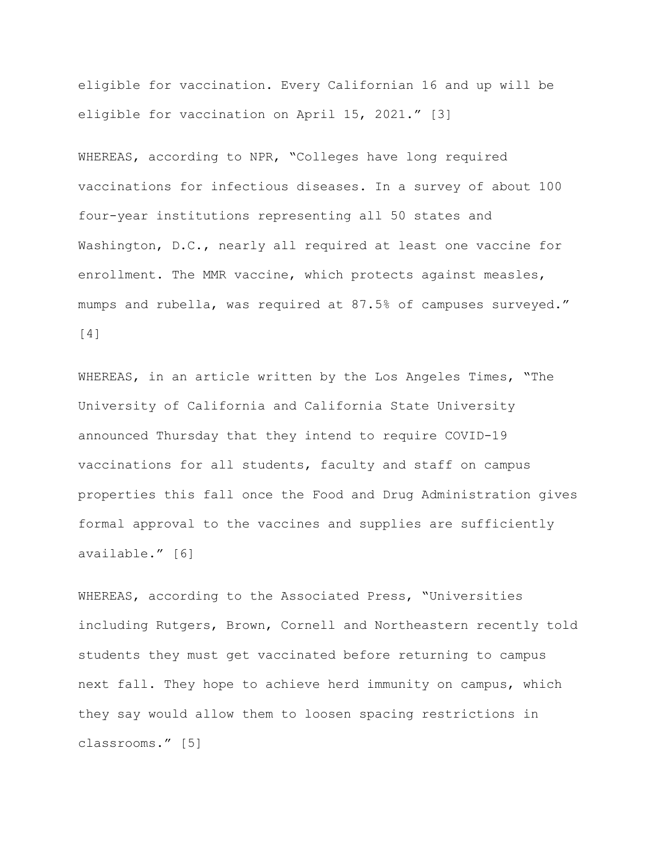eligible for vaccination. Every Californian 16 and up will be eligible for vaccination on April 15, 2021." [3]

WHEREAS, according to NPR, "Colleges have long required vaccinations for infectious diseases. In a survey of about 100 four-year institutions representing all 50 states and Washington, D.C., nearly all required at least one vaccine for enrollment. The MMR vaccine, which protects against measles, mumps and rubella, was required at 87.5% of campuses surveyed." [4]

WHEREAS, in an article written by the Los Angeles Times, "The University of California and California State University announced Thursday that they intend to require COVID-19 vaccinations for all students, faculty and staff on campus properties this fall once the Food and Drug Administration gives formal approval to the vaccines and supplies are sufficiently available." [6]

WHEREAS, according to the Associated Press, "Universities including Rutgers, Brown, Cornell and Northeastern recently told students they must get vaccinated before returning to campus next fall. They hope to achieve herd immunity on campus, which they say would allow them to loosen spacing restrictions in classrooms." [5]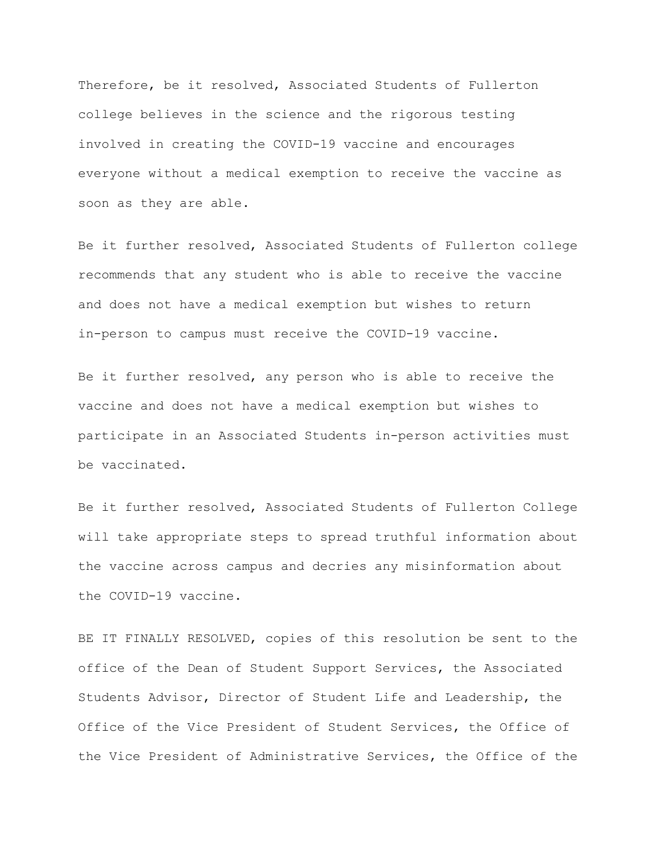Therefore, be it resolved, Associated Students of Fullerton college believes in the science and the rigorous testing involved in creating the COVID-19 vaccine and encourages everyone without a medical exemption to receive the vaccine as soon as they are able.

Be it further resolved, Associated Students of Fullerton college recommends that any student who is able to receive the vaccine and does not have a medical exemption but wishes to return in-person to campus must receive the COVID-19 vaccine.

Be it further resolved, any person who is able to receive the vaccine and does not have a medical exemption but wishes to participate in an Associated Students in-person activities must be vaccinated.

Be it further resolved, Associated Students of Fullerton College will take appropriate steps to spread truthful information about the vaccine across campus and decries any misinformation about the COVID-19 vaccine.

BE IT FINALLY RESOLVED, copies of this resolution be sent to the office of the Dean of Student Support Services, the Associated Students Advisor, Director of Student Life and Leadership, the Office of the Vice President of Student Services, the Office of the Vice President of Administrative Services, the Office of the